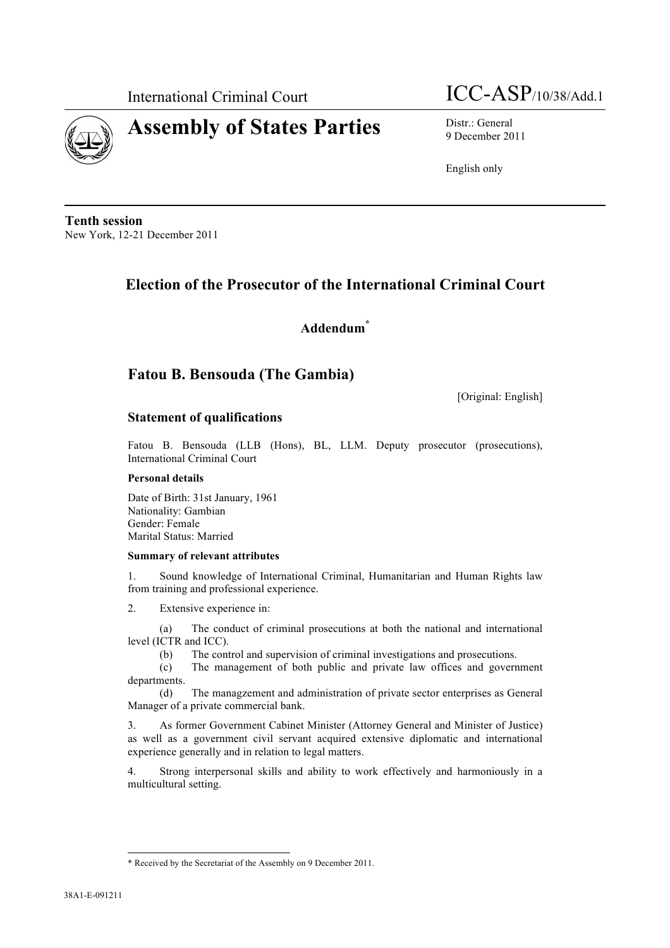

International Criminal Court  $\text{ICC-ASP/10/38/Add.1}$ 

9 December 2011

English only

**Tenth session** New York, 12-21 December 2011

# **Election of the Prosecutor of the International Criminal Court**

**Addendum\***

# **Fatou B. Bensouda (The Gambia)**

[Original: English]

# **Statement of qualifications**

Fatou B. Bensouda (LLB (Hons), BL, LLM. Deputy prosecutor (prosecutions), International Criminal Court

# **Personal details**

Date of Birth: 31st January, 1961 Nationality: Gambian Gender: Female Marital Status: Married

# **Summary of relevant attributes**

1. Sound knowledge of International Criminal, Humanitarian and Human Rights law from training and professional experience.

2. Extensive experience in:

(a) The conduct of criminal prosecutions at both the national and international level (ICTR and ICC).

(b) The control and supervision of criminal investigations and prosecutions.

(c) The management of both public and private law offices and government departments.

(d) The managzement and administration of private sector enterprises as General Manager of a private commercial bank.

3. As former Government Cabinet Minister (Attorney General and Minister of Justice) as well as a government civil servant acquired extensive diplomatic and international experience generally and in relation to legal matters.

4. Strong interpersonal skills and ability to work effectively and harmoniously in a multicultural setting.

l

<sup>\*</sup> Received by the Secretariat of the Assembly on 9 December 2011.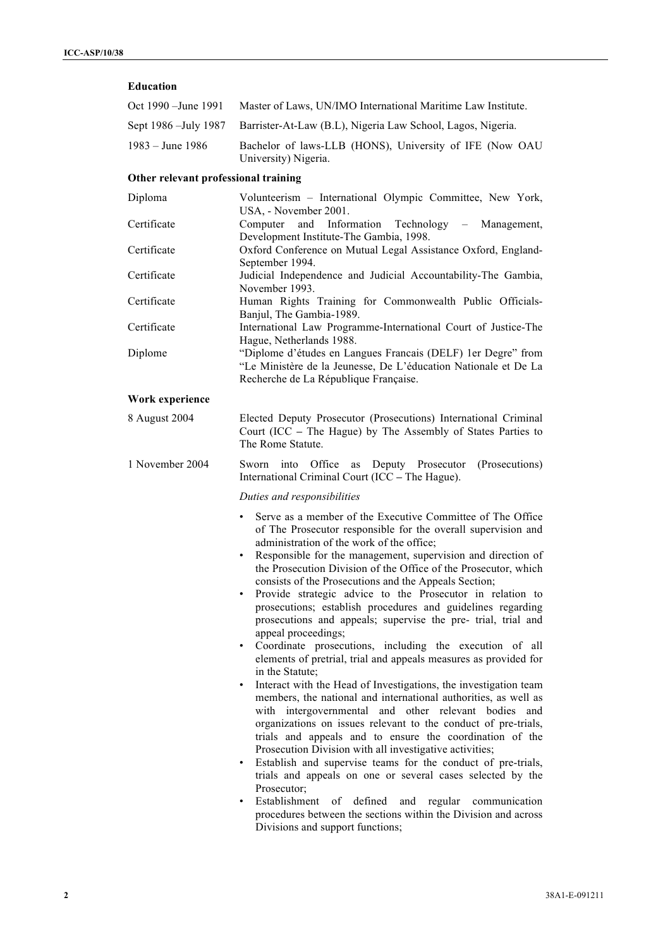# **Education**

| Oct 1990 –June 1991 | Master of Laws, UN/IMO International Maritime Law Institute.                        |  |  |  |  |
|---------------------|-------------------------------------------------------------------------------------|--|--|--|--|
|                     | Sept 1986 – July 1987 – Barrister-At-Law (B.L), Nigeria Law School, Lagos, Nigeria. |  |  |  |  |
| 1983 – June 1986    | Bachelor of laws-LLB (HONS), University of IFE (Now OAU<br>University) Nigeria.     |  |  |  |  |

# **Other relevant professional training**

| Diploma         | Volunteerism - International Olympic Committee, New York,<br>USA, - November 2001.                                                                                                                                                                                                                                                                                                                                                                                                                                                                                                                                                                                                                                                                                                                                                                                                                                                                                                                                                                                                                                                                                                                                                                            |  |  |  |  |  |  |  |
|-----------------|---------------------------------------------------------------------------------------------------------------------------------------------------------------------------------------------------------------------------------------------------------------------------------------------------------------------------------------------------------------------------------------------------------------------------------------------------------------------------------------------------------------------------------------------------------------------------------------------------------------------------------------------------------------------------------------------------------------------------------------------------------------------------------------------------------------------------------------------------------------------------------------------------------------------------------------------------------------------------------------------------------------------------------------------------------------------------------------------------------------------------------------------------------------------------------------------------------------------------------------------------------------|--|--|--|--|--|--|--|
| Certificate     | Information Technology<br>Computer<br>and<br>Management,<br>$\overline{\phantom{m}}$<br>Development Institute-The Gambia, 1998.                                                                                                                                                                                                                                                                                                                                                                                                                                                                                                                                                                                                                                                                                                                                                                                                                                                                                                                                                                                                                                                                                                                               |  |  |  |  |  |  |  |
| Certificate     | Oxford Conference on Mutual Legal Assistance Oxford, England-<br>September 1994.                                                                                                                                                                                                                                                                                                                                                                                                                                                                                                                                                                                                                                                                                                                                                                                                                                                                                                                                                                                                                                                                                                                                                                              |  |  |  |  |  |  |  |
| Certificate     | Judicial Independence and Judicial Accountability-The Gambia,<br>November 1993.                                                                                                                                                                                                                                                                                                                                                                                                                                                                                                                                                                                                                                                                                                                                                                                                                                                                                                                                                                                                                                                                                                                                                                               |  |  |  |  |  |  |  |
| Certificate     | Human Rights Training for Commonwealth Public Officials-<br>Banjul, The Gambia-1989.                                                                                                                                                                                                                                                                                                                                                                                                                                                                                                                                                                                                                                                                                                                                                                                                                                                                                                                                                                                                                                                                                                                                                                          |  |  |  |  |  |  |  |
| Certificate     | International Law Programme-International Court of Justice-The<br>Hague, Netherlands 1988.                                                                                                                                                                                                                                                                                                                                                                                                                                                                                                                                                                                                                                                                                                                                                                                                                                                                                                                                                                                                                                                                                                                                                                    |  |  |  |  |  |  |  |
| Diplome         | "Diplome d'études en Langues Francais (DELF) 1 er Degre" from<br>"Le Ministère de la Jeunesse, De L'éducation Nationale et De La<br>Recherche de La République Française.                                                                                                                                                                                                                                                                                                                                                                                                                                                                                                                                                                                                                                                                                                                                                                                                                                                                                                                                                                                                                                                                                     |  |  |  |  |  |  |  |
| Work experience |                                                                                                                                                                                                                                                                                                                                                                                                                                                                                                                                                                                                                                                                                                                                                                                                                                                                                                                                                                                                                                                                                                                                                                                                                                                               |  |  |  |  |  |  |  |
| 8 August 2004   | Elected Deputy Prosecutor (Prosecutions) International Criminal<br>Court (ICC - The Hague) by The Assembly of States Parties to<br>The Rome Statute.                                                                                                                                                                                                                                                                                                                                                                                                                                                                                                                                                                                                                                                                                                                                                                                                                                                                                                                                                                                                                                                                                                          |  |  |  |  |  |  |  |
| 1 November 2004 | into Office<br>Deputy Prosecutor<br>Sworn<br>as<br>(Prosecutions)<br>International Criminal Court (ICC - The Hague).                                                                                                                                                                                                                                                                                                                                                                                                                                                                                                                                                                                                                                                                                                                                                                                                                                                                                                                                                                                                                                                                                                                                          |  |  |  |  |  |  |  |
|                 | Duties and responsibilities                                                                                                                                                                                                                                                                                                                                                                                                                                                                                                                                                                                                                                                                                                                                                                                                                                                                                                                                                                                                                                                                                                                                                                                                                                   |  |  |  |  |  |  |  |
|                 | Serve as a member of the Executive Committee of The Office<br>٠<br>of The Prosecutor responsible for the overall supervision and<br>administration of the work of the office;<br>Responsible for the management, supervision and direction of<br>$\bullet$<br>the Prosecution Division of the Office of the Prosecutor, which<br>consists of the Prosecutions and the Appeals Section;<br>Provide strategic advice to the Prosecutor in relation to<br>$\bullet$<br>prosecutions; establish procedures and guidelines regarding<br>prosecutions and appeals; supervise the pre- trial, trial and<br>appeal proceedings;<br>Coordinate prosecutions, including the execution of all<br>$\bullet$<br>elements of pretrial, trial and appeals measures as provided for<br>in the Statute:<br>Interact with the Head of Investigations, the investigation team<br>$\bullet$<br>members, the national and international authorities, as well as<br>with intergovernmental and other relevant bodies<br>and<br>organizations on issues relevant to the conduct of pre-trials,<br>trials and appeals and to ensure the coordination of the<br>Prosecution Division with all investigative activities;<br>Establish and supervise teams for the conduct of pre-trials |  |  |  |  |  |  |  |

Establish and supervise teams for the conduct of pre-trials, trials and appeals on one or several cases selected by the Prosecutor;

• Establishment of defined and regular communication procedures between the sections within the Division and across Divisions and support functions;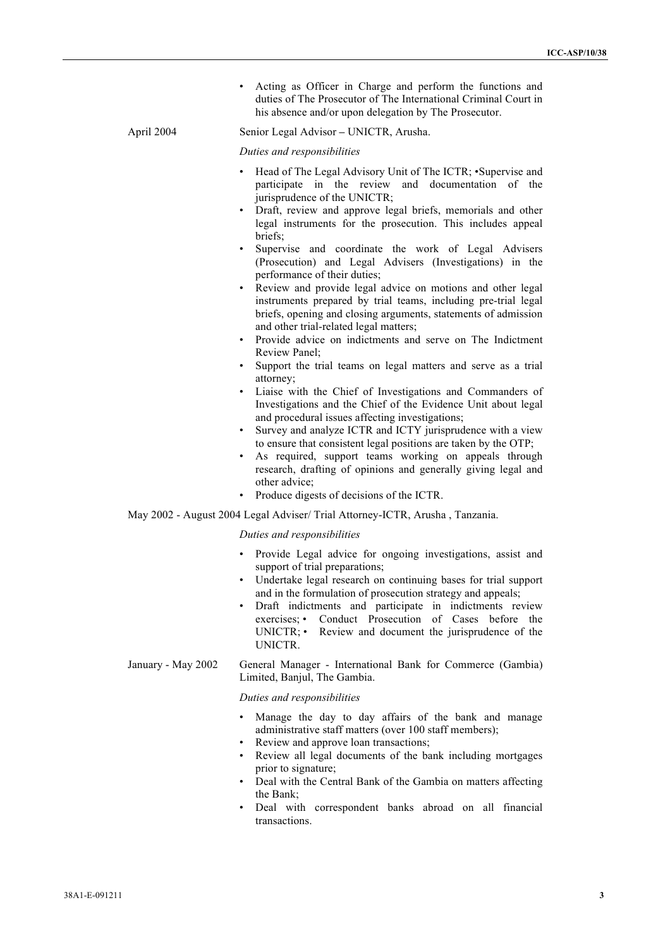Acting as Officer in Charge and perform the functions and duties of The Prosecutor of The International Criminal Court in his absence and/or upon delegation by The Prosecutor.

#### April 2004 Senior Legal Advisor **–** UNICTR, Arusha.

*Duties and responsibilities*

- Head of The Legal Advisory Unit of The ICTR; •Supervise and participate in the review and documentation of the jurisprudence of the UNICTR;
- Draft, review and approve legal briefs, memorials and other legal instruments for the prosecution. This includes appeal briefs;
- Supervise and coordinate the work of Legal Advisers (Prosecution) and Legal Advisers (Investigations) in the performance of their duties;
- Review and provide legal advice on motions and other legal instruments prepared by trial teams, including pre-trial legal briefs, opening and closing arguments, statements of admission and other trial-related legal matters;
- Provide advice on indictments and serve on The Indictment Review Panel;
- Support the trial teams on legal matters and serve as a trial attorney;
- Liaise with the Chief of Investigations and Commanders of Investigations and the Chief of the Evidence Unit about legal and procedural issues affecting investigations;
- Survey and analyze ICTR and ICTY jurisprudence with a view to ensure that consistent legal positions are taken by the OTP;
- As required, support teams working on appeals through research, drafting of opinions and generally giving legal and other advice;
- Produce digests of decisions of the ICTR.

May 2002 - August 2004 Legal Adviser/ Trial Attorney-ICTR, Arusha , Tanzania.

#### *Duties and responsibilities*

- Provide Legal advice for ongoing investigations, assist and support of trial preparations;
- Undertake legal research on continuing bases for trial support and in the formulation of prosecution strategy and appeals;
- Draft indictments and participate in indictments review exercises; • Conduct Prosecution of Cases before the UNICTR; • Review and document the jurisprudence of the UNICTR.
- January May 2002 General Manager International Bank for Commerce (Gambia) Limited, Banjul, The Gambia.

#### *Duties and responsibilities*

- Manage the day to day affairs of the bank and manage administrative staff matters (over 100 staff members);
- Review and approve loan transactions;
- Review all legal documents of the bank including mortgages prior to signature;
- Deal with the Central Bank of the Gambia on matters affecting the Bank;
- Deal with correspondent banks abroad on all financial transactions.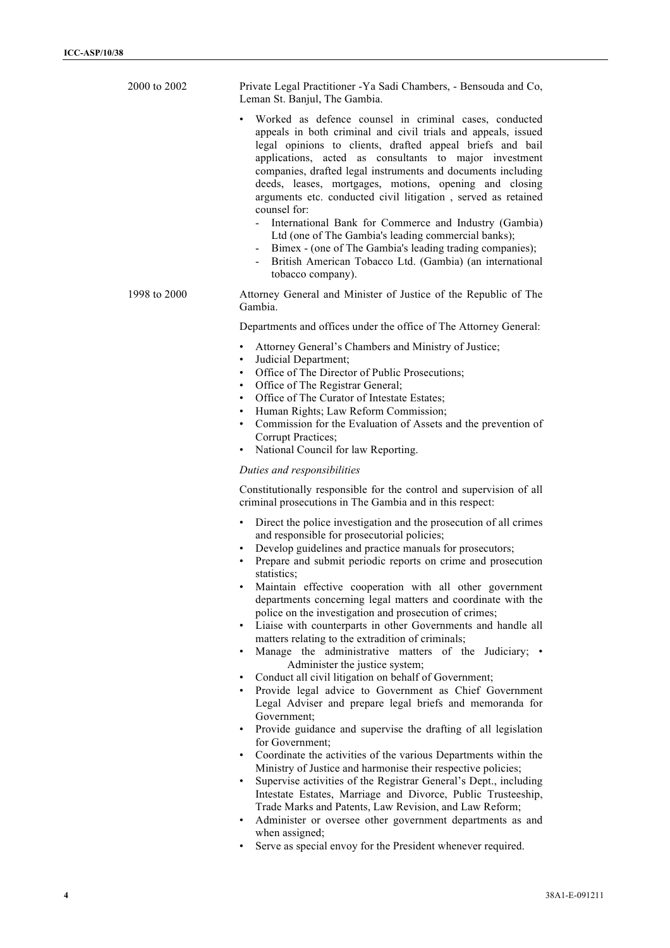| 2000 to 2002 | Private Legal Practitioner - Ya Sadi Chambers, - Bensouda and Co,<br>Leman St. Banjul, The Gambia.                                                                                                                                                                                                                                                                                                                                                                                                                                                                                                                                                                                                                                                                                                                                                                                                                                                                                                                                                                                                                                                                                                                        |  |  |  |  |  |  |
|--------------|---------------------------------------------------------------------------------------------------------------------------------------------------------------------------------------------------------------------------------------------------------------------------------------------------------------------------------------------------------------------------------------------------------------------------------------------------------------------------------------------------------------------------------------------------------------------------------------------------------------------------------------------------------------------------------------------------------------------------------------------------------------------------------------------------------------------------------------------------------------------------------------------------------------------------------------------------------------------------------------------------------------------------------------------------------------------------------------------------------------------------------------------------------------------------------------------------------------------------|--|--|--|--|--|--|
|              | Worked as defence counsel in criminal cases, conducted<br>$\bullet$<br>appeals in both criminal and civil trials and appeals, issued<br>legal opinions to clients, drafted appeal briefs and bail<br>applications, acted as consultants to major investment<br>companies, drafted legal instruments and documents including<br>deeds, leases, mortgages, motions, opening and closing<br>arguments etc. conducted civil litigation, served as retained<br>counsel for:<br>International Bank for Commerce and Industry (Gambia)<br>Ltd (one of The Gambia's leading commercial banks);<br>Bimex - (one of The Gambia's leading trading companies);<br>British American Tobacco Ltd. (Gambia) (an international<br>tobacco company).                                                                                                                                                                                                                                                                                                                                                                                                                                                                                       |  |  |  |  |  |  |
| 1998 to 2000 | Attorney General and Minister of Justice of the Republic of The<br>Gambia.                                                                                                                                                                                                                                                                                                                                                                                                                                                                                                                                                                                                                                                                                                                                                                                                                                                                                                                                                                                                                                                                                                                                                |  |  |  |  |  |  |
|              | Departments and offices under the office of The Attorney General:                                                                                                                                                                                                                                                                                                                                                                                                                                                                                                                                                                                                                                                                                                                                                                                                                                                                                                                                                                                                                                                                                                                                                         |  |  |  |  |  |  |
|              | Attorney General's Chambers and Ministry of Justice;<br>$\bullet$<br>Judicial Department;<br>$\bullet$<br>Office of The Director of Public Prosecutions;<br>$\bullet$<br>Office of The Registrar General;<br>$\bullet$<br>Office of The Curator of Intestate Estates;<br>$\bullet$<br>Human Rights; Law Reform Commission;<br>$\bullet$<br>Commission for the Evaluation of Assets and the prevention of<br>$\bullet$<br>Corrupt Practices;<br>National Council for law Reporting.                                                                                                                                                                                                                                                                                                                                                                                                                                                                                                                                                                                                                                                                                                                                        |  |  |  |  |  |  |
|              | Duties and responsibilities                                                                                                                                                                                                                                                                                                                                                                                                                                                                                                                                                                                                                                                                                                                                                                                                                                                                                                                                                                                                                                                                                                                                                                                               |  |  |  |  |  |  |
|              | Constitutionally responsible for the control and supervision of all<br>criminal prosecutions in The Gambia and in this respect:                                                                                                                                                                                                                                                                                                                                                                                                                                                                                                                                                                                                                                                                                                                                                                                                                                                                                                                                                                                                                                                                                           |  |  |  |  |  |  |
|              | Direct the police investigation and the prosecution of all crimes<br>$\bullet$<br>and responsible for prosecutorial policies;<br>Develop guidelines and practice manuals for prosecutors;<br>Prepare and submit periodic reports on crime and prosecution<br>statistics;<br>Maintain effective cooperation with all other government<br>departments concerning legal matters and coordinate with the<br>police on the investigation and prosecution of crimes;<br>Liaise with counterparts in other Governments and handle all<br>$\bullet$<br>matters relating to the extradition of criminals;<br>Manage the administrative matters of the Judiciary; •<br>$\bullet$<br>Administer the justice system;<br>Conduct all civil litigation on behalf of Government;<br>٠<br>Provide legal advice to Government as Chief Government<br>Legal Adviser and prepare legal briefs and memoranda for<br>Government;<br>Provide guidance and supervise the drafting of all legislation<br>٠<br>for Government;<br>Coordinate the activities of the various Departments within the<br>Ministry of Justice and harmonise their respective policies;<br>Supervise activities of the Registrar General's Dept., including<br>$\bullet$ |  |  |  |  |  |  |

- Intestate Estates, Marriage and Divorce, Public Trusteeship, Trade Marks and Patents, Law Revision, and Law Reform;
- Administer or oversee other government departments as and when assigned;
- Serve as special envoy for the President whenever required.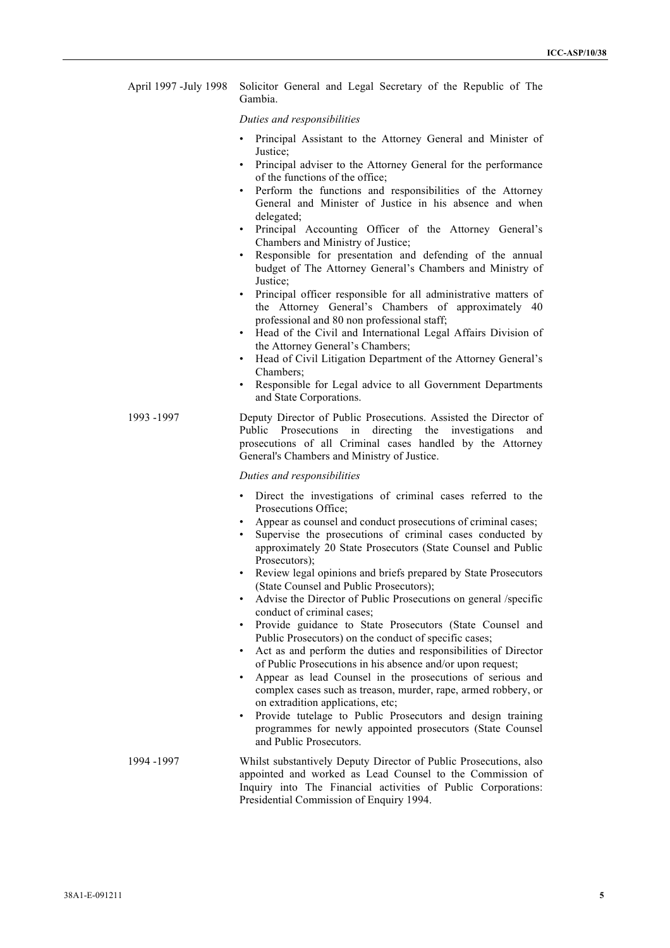| April 1997 - July 1998 Solicitor General and Legal Secretary of the Republic of The |         |  |  |  |  |  |
|-------------------------------------------------------------------------------------|---------|--|--|--|--|--|
|                                                                                     | Gambia. |  |  |  |  |  |

#### *Duties and responsibilities*

- Principal Assistant to the Attorney General and Minister of Justice;
- Principal adviser to the Attorney General for the performance of the functions of the office;
- Perform the functions and responsibilities of the Attorney General and Minister of Justice in his absence and when delegated;
- Principal Accounting Officer of the Attorney General's Chambers and Ministry of Justice;
- Responsible for presentation and defending of the annual budget of The Attorney General's Chambers and Ministry of Justice;
- Principal officer responsible for all administrative matters of the Attorney General's Chambers of approximately 40 professional and 80 non professional staff;
- Head of the Civil and International Legal Affairs Division of the Attorney General's Chambers;
- Head of Civil Litigation Department of the Attorney General's Chambers;
- Responsible for Legal advice to all Government Departments and State Corporations.
- 1993 -1997 Deputy Director of Public Prosecutions. Assisted the Director of Public Prosecutions in directing the investigations and prosecutions of all Criminal cases handled by the Attorney General's Chambers and Ministry of Justice.

#### *Duties and responsibilities*

- Direct the investigations of criminal cases referred to the Prosecutions Office;
- Appear as counsel and conduct prosecutions of criminal cases:
- Supervise the prosecutions of criminal cases conducted by approximately 20 State Prosecutors (State Counsel and Public Prosecutors):
- Review legal opinions and briefs prepared by State Prosecutors (State Counsel and Public Prosecutors);
- Advise the Director of Public Prosecutions on general /specific conduct of criminal cases;
- Provide guidance to State Prosecutors (State Counsel and Public Prosecutors) on the conduct of specific cases;
- Act as and perform the duties and responsibilities of Director of Public Prosecutions in his absence and/or upon request;
- Appear as lead Counsel in the prosecutions of serious and complex cases such as treason, murder, rape, armed robbery, or on extradition applications, etc;
- Provide tutelage to Public Prosecutors and design training programmes for newly appointed prosecutors (State Counsel and Public Prosecutors.
- 1994 -1997 Whilst substantively Deputy Director of Public Prosecutions, also appointed and worked as Lead Counsel to the Commission of Inquiry into The Financial activities of Public Corporations: Presidential Commission of Enquiry 1994.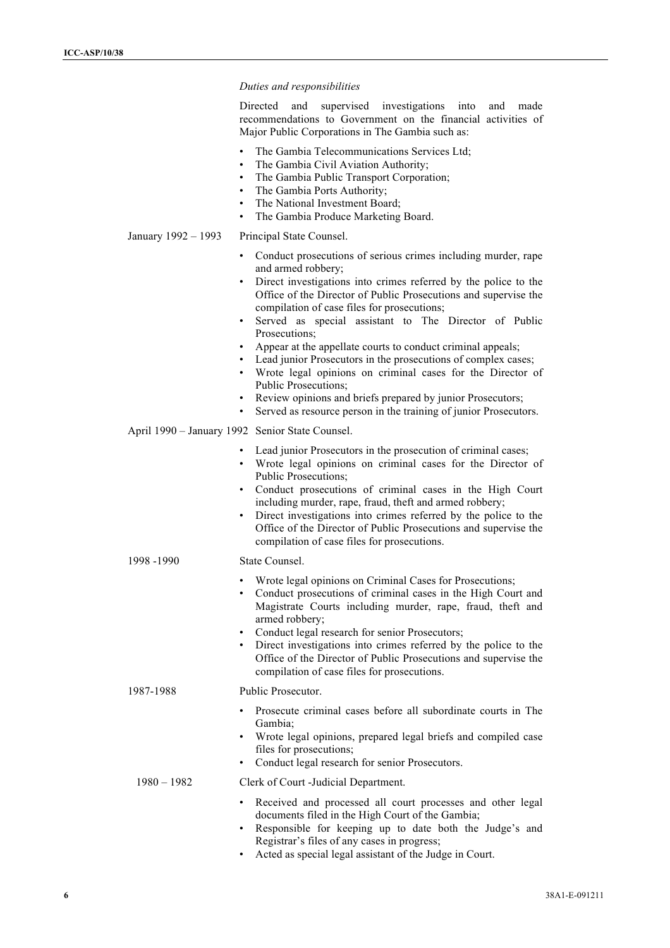#### *Duties and responsibilities*

Directed and supervised investigations into and made recommendations to Government on the financial activities of Major Public Corporations in The Gambia such as:

- The Gambia Telecommunications Services Ltd;
- The Gambia Civil Aviation Authority:
- The Gambia Public Transport Corporation;
- The Gambia Ports Authority;
- The National Investment Board;
- The Gambia Produce Marketing Board.

#### January 1992 – 1993 Principal State Counsel.

- Conduct prosecutions of serious crimes including murder, rape and armed robbery;
- Direct investigations into crimes referred by the police to the Office of the Director of Public Prosecutions and supervise the compilation of case files for prosecutions;
- Served as special assistant to The Director of Public Prosecutions;
- Appear at the appellate courts to conduct criminal appeals;
- Lead junior Prosecutors in the prosecutions of complex cases;
- Wrote legal opinions on criminal cases for the Director of Public Prosecutions;
- Review opinions and briefs prepared by junior Prosecutors;
- Served as resource person in the training of junior Prosecutors.

#### April 1990 – January 1992 Senior State Counsel.

- Lead junior Prosecutors in the prosecution of criminal cases;
- Wrote legal opinions on criminal cases for the Director of Public Prosecutions;
- Conduct prosecutions of criminal cases in the High Court including murder, rape, fraud, theft and armed robbery;
- Direct investigations into crimes referred by the police to the Office of the Director of Public Prosecutions and supervise the compilation of case files for prosecutions.

#### 1998 -1990 State Counsel.

- Wrote legal opinions on Criminal Cases for Prosecutions;
- Conduct prosecutions of criminal cases in the High Court and Magistrate Courts including murder, rape, fraud, theft and armed robbery;
- Conduct legal research for senior Prosecutors;
- Direct investigations into crimes referred by the police to the Office of the Director of Public Prosecutions and supervise the compilation of case files for prosecutions.

#### 1987-1988 Public Prosecutor.

- Prosecute criminal cases before all subordinate courts in The Gambia;
- Wrote legal opinions, prepared legal briefs and compiled case files for prosecutions;
- Conduct legal research for senior Prosecutors.

# 1980 – 1982 Clerk of Court -Judicial Department.

- Received and processed all court processes and other legal documents filed in the High Court of the Gambia;
- Responsible for keeping up to date both the Judge's and Registrar's files of any cases in progress;
- Acted as special legal assistant of the Judge in Court.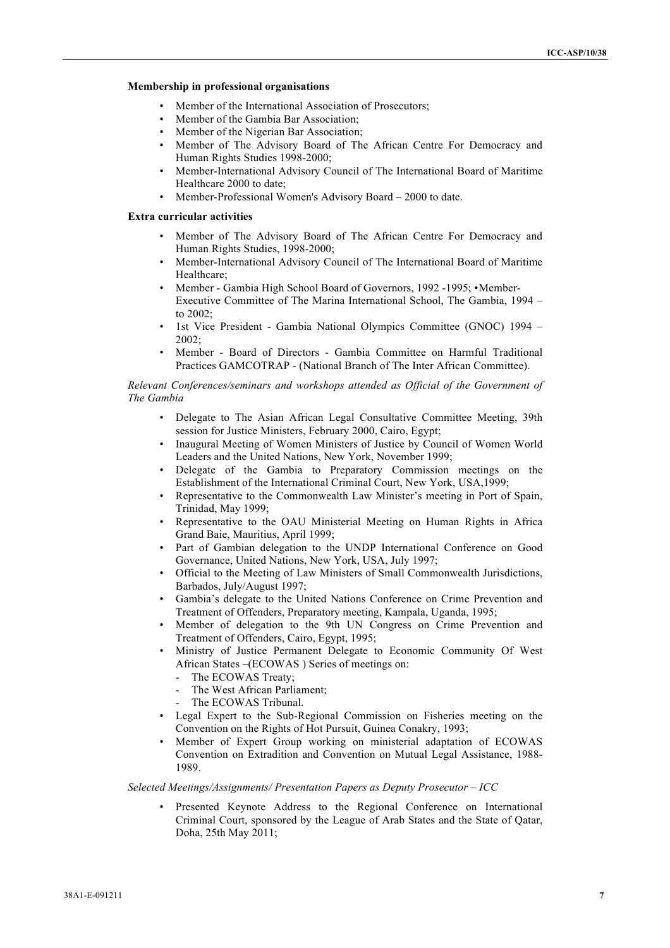# **Membership in professional organisations** <sup>7</sup>

- Member of the International Association of Prosecutors;
- Member of the Gambia Bar Association;
- Member of the Nigerian Bar Association;
- Member of The Advisory Board of The African Centre For Democracy and Human Rights Studies 1998-2000;
- Member-International Advisory Council of The International Board of Maritime Healthcare 2000 to date;
- Member-Professional Women's Advisory Board 2000 to date.

# **Extra curricular activities**

- Member of The Advisory Board of The African Centre For Democracy and Human Rights Studies, 1998-2000;
- Member-International Advisory Council of The International Board of Maritime Healthcare;
- Member Gambia High School Board of Governors, 1992 -1995; •Member-Executive Committee of The Marina International School, The Gambia, 1994 – to  $2002$
- 1st Vice President Gambia National Olympics Committee (GNOC) 1994 2002;
- Member Board of Directors Gambia Committee on Harmful Traditional Practices GAMCOTRAP - (National Branch of The Inter African Committee).

### *Relevant Conferences/seminars and workshops attended as Official of the Government of The Gambia*

- Delegate to The Asian African Legal Consultative Committee Meeting, 39th session for Justice Ministers, February 2000, Cairo, Egypt;
- Inaugural Meeting of Women Ministers of Justice by Council of Women World Leaders and the United Nations, New York, November 1999;
- Delegate of the Gambia to Preparatory Commission meetings on the Establishment of the International Criminal Court, New York, USA,1999;
- Representative to the Commonwealth Law Minister's meeting in Port of Spain, Trinidad, May 1999;
- Representative to the OAU Ministerial Meeting on Human Rights in Africa Grand Baie, Mauritius, April 1999;
- Part of Gambian delegation to the UNDP International Conference on Good Governance, United Nations, New York, USA, July 1997;
- Official to the Meeting of Law Ministers of Small Commonwealth Jurisdictions, Barbados, July/August 1997;
- Gambia's delegate to the United Nations Conference on Crime Prevention and Treatment of Offenders, Preparatory meeting, Kampala, Uganda, 1995;
- Member of delegation to the 9th UN Congress on Crime Prevention and Treatment of Offenders, Cairo, Egypt, 1995;
- Ministry of Justice Permanent Delegate to Economic Community Of West African States –(ECOWAS ) Series of meetings on:
	- The ECOWAS Treaty:
	- The West African Parliament;
	- The ECOWAS Tribunal.
- Legal Expert to the Sub-Regional Commission on Fisheries meeting on the Convention on the Rights of Hot Pursuit, Guinea Conakry, 1993;
- Member of Expert Group working on ministerial adaptation of ECOWAS Convention on Extradition and Convention on Mutual Legal Assistance, 1988- 1989.

# *Selected Meetings/Assignments/ Presentation Papers as Deputy Prosecutor – ICC*

• Presented Keynote Address to the Regional Conference on International Criminal Court, sponsored by the League of Arab States and the State of Qatar, Doha, 25th May 2011;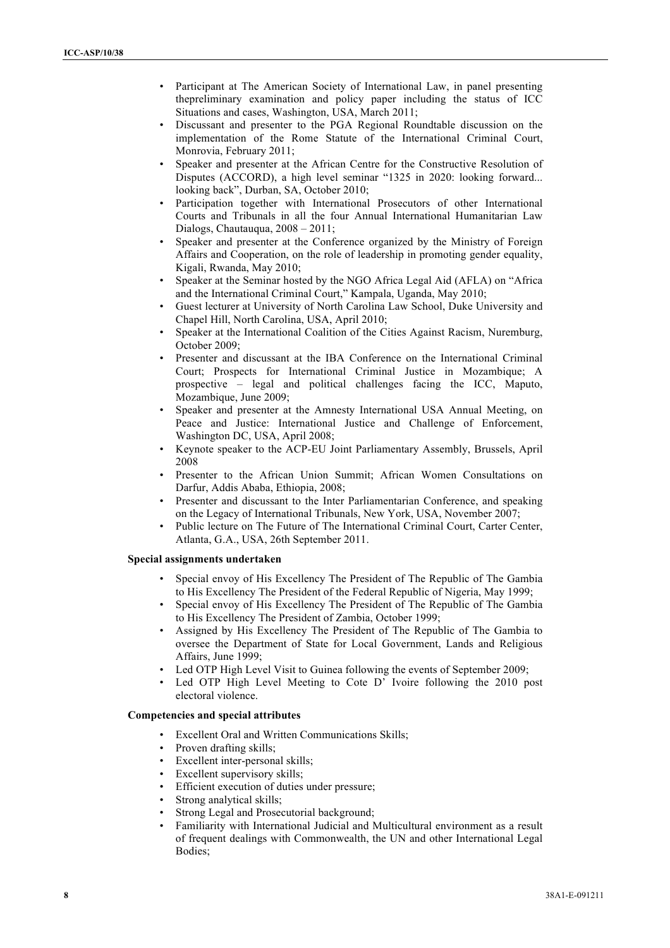- Participant at The American Society of International Law, in panel presenting thepreliminary examination and policy paper including the status of ICC Situations and cases, Washington, USA, March 2011;
- Discussant and presenter to the PGA Regional Roundtable discussion on the implementation of the Rome Statute of the International Criminal Court, Monrovia, February 2011;
- Speaker and presenter at the African Centre for the Constructive Resolution of Disputes (ACCORD), a high level seminar "1325 in 2020: looking forward... looking back", Durban, SA, October 2010;
- Participation together with International Prosecutors of other International Courts and Tribunals in all the four Annual International Humanitarian Law Dialogs, Chautauqua, 2008 – 2011;
- Speaker and presenter at the Conference organized by the Ministry of Foreign Affairs and Cooperation, on the role of leadership in promoting gender equality, Kigali, Rwanda, May 2010;
- Speaker at the Seminar hosted by the NGO Africa Legal Aid (AFLA) on "Africa and the International Criminal Court," Kampala, Uganda, May 2010;
- Guest lecturer at University of North Carolina Law School, Duke University and Chapel Hill, North Carolina, USA, April 2010;
- Speaker at the International Coalition of the Cities Against Racism, Nuremburg, October 2009;
- Presenter and discussant at the IBA Conference on the International Criminal Court; Prospects for International Criminal Justice in Mozambique; A prospective – legal and political challenges facing the ICC, Maputo, Mozambique, June 2009;
- Speaker and presenter at the Amnesty International USA Annual Meeting, on Peace and Justice: International Justice and Challenge of Enforcement, Washington DC, USA, April 2008;
- Keynote speaker to the ACP-EU Joint Parliamentary Assembly, Brussels, April 2008
- Presenter to the African Union Summit; African Women Consultations on Darfur, Addis Ababa, Ethiopia, 2008;
- Presenter and discussant to the Inter Parliamentarian Conference, and speaking on the Legacy of International Tribunals, New York, USA, November 2007;
- Public lecture on The Future of The International Criminal Court, Carter Center, Atlanta, G.A., USA, 26th September 2011.

# **Special assignments undertaken**

- Special envoy of His Excellency The President of The Republic of The Gambia to His Excellency The President of the Federal Republic of Nigeria, May 1999;
- Special envoy of His Excellency The President of The Republic of The Gambia to His Excellency The President of Zambia, October 1999;
- Assigned by His Excellency The President of The Republic of The Gambia to oversee the Department of State for Local Government, Lands and Religious Affairs, June 1999;
- Led OTP High Level Visit to Guinea following the events of September 2009;
- Led OTP High Level Meeting to Cote D' Ivoire following the 2010 post electoral violence.

#### **Competencies and special attributes**

- Excellent Oral and Written Communications Skills;
- Proven drafting skills;
- Excellent inter-personal skills;
- Excellent supervisory skills;
- Efficient execution of duties under pressure:
- Strong analytical skills;
- Strong Legal and Prosecutorial background;
- Familiarity with International Judicial and Multicultural environment as a result of frequent dealings with Commonwealth, the UN and other International Legal Bodies;